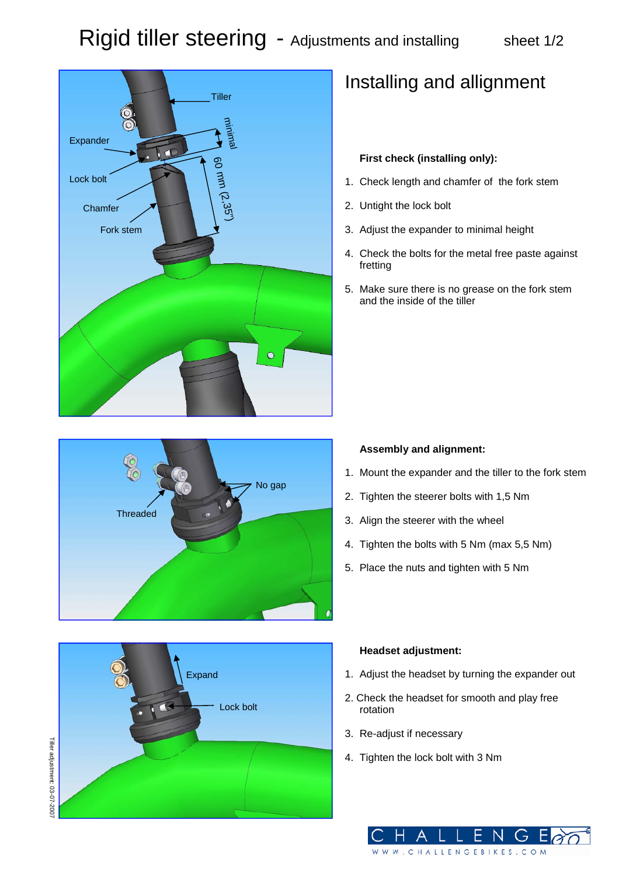

## Installing and allignment

### **First check (installing only):**

- 1. Check length and chamfer of the fork stem
- 2. Untight the lock bolt
- 3. Adjust the expander to minimal height
- 4. Check the bolts for the metal free paste against fretting
- 5. Make sure there is no grease on the fork stem and the inside of the tiller



#### **Assembly and alignment:**

- 1. Mount the expander and the tiller to the fork stem
- 2. Tighten the steerer bolts with 1,5 Nm
- 3. Align the steerer with the wheel
- 4. Tighten the bolts with 5 Nm (max 5,5 Nm)
- 5. Place the nuts and tighten with 5 Nm



#### **Headset adjustment:**

- 1. Adjust the headset by turning the expander out
- 2. Check the headset for smooth and play free rotation
- 3. Re-adjust if necessary
- 4. Tighten the lock bolt with 3 Nm

W. CHALLENGEBIKES. COM